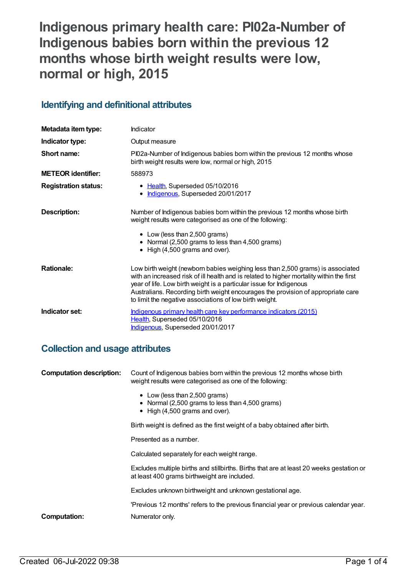# **Indigenous primary health care: PI02a-Number of Indigenous babies born within the previous 12 months whose birth weight results were low, normal or high, 2015**

# **Identifying and definitional attributes**

| Metadata item type:         | Indicator                                                                                                                                                                                                                                                                                                                                                                                        |
|-----------------------------|--------------------------------------------------------------------------------------------------------------------------------------------------------------------------------------------------------------------------------------------------------------------------------------------------------------------------------------------------------------------------------------------------|
| Indicator type:             | Output measure                                                                                                                                                                                                                                                                                                                                                                                   |
| Short name:                 | PI02a-Number of Indigenous babies born within the previous 12 months whose<br>birth weight results were low, normal or high, 2015                                                                                                                                                                                                                                                                |
| <b>METEOR identifier:</b>   | 588973                                                                                                                                                                                                                                                                                                                                                                                           |
| <b>Registration status:</b> | • Health, Superseded 05/10/2016<br>• Indigenous, Superseded 20/01/2017                                                                                                                                                                                                                                                                                                                           |
| <b>Description:</b>         | Number of Indigenous babies born within the previous 12 months whose birth<br>weight results were categorised as one of the following:<br>• Low (less than 2,500 grams)<br>• Normal (2,500 grams to less than 4,500 grams)<br>• High (4,500 grams and over).                                                                                                                                     |
| <b>Rationale:</b>           | Low birth weight (newborn babies weighing less than 2,500 grams) is associated<br>with an increased risk of ill health and is related to higher mortality within the first<br>year of life. Low birth weight is a particular issue for Indigenous<br>Australians. Recording birth weight encourages the provision of appropriate care<br>to limit the negative associations of low birth weight. |
| Indicator set:              | Indigenous primary health care key performance indicators (2015)<br>Health, Superseded 05/10/2016<br>Indigenous, Superseded 20/01/2017                                                                                                                                                                                                                                                           |

# **Collection and usage attributes**

| <b>Computation description:</b>                                             | Count of Indigenous babies born within the previous 12 months whose birth<br>weight results were categorised as one of the following:    |  |
|-----------------------------------------------------------------------------|------------------------------------------------------------------------------------------------------------------------------------------|--|
|                                                                             | • Low (less than 2,500 grams)<br>• Normal (2,500 grams to less than 4,500 grams)<br>$\bullet$ High (4,500 grams and over).               |  |
| Birth weight is defined as the first weight of a baby obtained after birth. |                                                                                                                                          |  |
|                                                                             | Presented as a number.                                                                                                                   |  |
|                                                                             | Calculated separately for each weight range.                                                                                             |  |
|                                                                             | Excludes multiple births and stillbirths. Births that are at least 20 weeks gestation or<br>at least 400 grams birthweight are included. |  |
|                                                                             | Excludes unknown birthweight and unknown gestational age.                                                                                |  |
|                                                                             | 'Previous 12 months' refers to the previous financial year or previous calendar year.                                                    |  |
| Computation:                                                                | Numerator only.                                                                                                                          |  |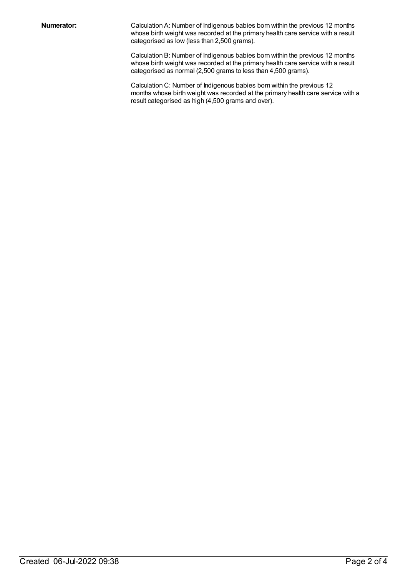**Numerator:** Calculation A: Number of Indigenous babies born within the previous 12 months whose birth weight was recorded at the primary health care service with a result categorised as low (less than 2,500 grams).

> Calculation B: Number of Indigenous babies born within the previous 12 months whose birth weight was recorded at the primary health care service with a result categorised as normal (2,500 grams to less than 4,500 grams).

Calculation C: Number of Indigenous babies born within the previous 12 months whose birth weight was recorded at the primary health care service with a result categorised as high (4,500 grams and over).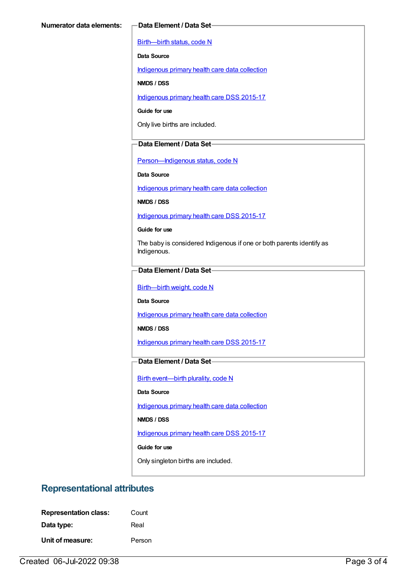[Birth—birth](https://meteor.aihw.gov.au/content/269949) status, code N

**Data Source**

[Indigenous](https://meteor.aihw.gov.au/content/430643) primary health care data collection

**NMDS / DSS**

[Indigenous](https://meteor.aihw.gov.au/content/585036) primary health care DSS 2015-17

**Guide for use**

Only live births are included.

#### **Data Element / Data Set**

[Person—Indigenous](https://meteor.aihw.gov.au/content/291036) status, code N

**Data Source**

[Indigenous](https://meteor.aihw.gov.au/content/430643) primary health care data collection

**NMDS / DSS**

[Indigenous](https://meteor.aihw.gov.au/content/585036) primary health care DSS 2015-17

**Guide for use**

The baby is considered Indigenous if one or both parents identify as Indigenous.

#### **Data Element / Data Set**

[Birth—birth](https://meteor.aihw.gov.au/content/459938) weight, code N

**Data Source**

[Indigenous](https://meteor.aihw.gov.au/content/430643) primary health care data collection

**NMDS / DSS**

[Indigenous](https://meteor.aihw.gov.au/content/585036) primary health care DSS 2015-17

### **Data Element / Data Set**

Birth [event—birth](https://meteor.aihw.gov.au/content/482409) plurality, code N

#### **Data Source**

[Indigenous](https://meteor.aihw.gov.au/content/430643) primary health care data collection

**NMDS / DSS**

[Indigenous](https://meteor.aihw.gov.au/content/585036) primary health care DSS 2015-17

**Guide for use**

Only singleton births are included.

# **Representational attributes**

| <b>Representation class:</b> | Count  |
|------------------------------|--------|
| Data type:                   | Real   |
| Unit of measure:             | Person |